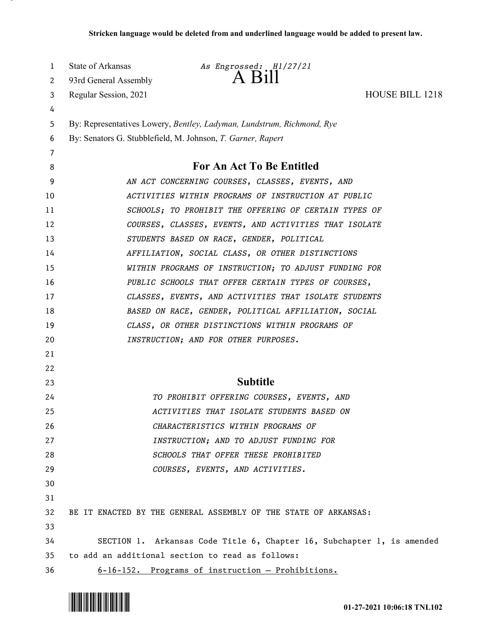| 1  | <b>State of Arkansas</b>                              | As Engrossed: H1/27/21                                                 |                        |  |
|----|-------------------------------------------------------|------------------------------------------------------------------------|------------------------|--|
| 2  | 93rd General Assembly                                 | $A$ $B1$                                                               |                        |  |
| 3  | Regular Session, 2021                                 |                                                                        | <b>HOUSE BILL 1218</b> |  |
| 4  |                                                       |                                                                        |                        |  |
| 5  |                                                       | By: Representatives Lowery, Bentley, Ladyman, Lundstrum, Richmond, Rye |                        |  |
| 6  |                                                       | By: Senators G. Stubblefield, M. Johnson, T. Garner, Rapert            |                        |  |
| 7  |                                                       |                                                                        |                        |  |
| 8  |                                                       | <b>For An Act To Be Entitled</b>                                       |                        |  |
| 9  |                                                       | AN ACT CONCERNING COURSES, CLASSES, EVENTS, AND                        |                        |  |
| 10 |                                                       | ACTIVITIES WITHIN PROGRAMS OF INSTRUCTION AT PUBLIC                    |                        |  |
| 11 |                                                       | SCHOOLS; TO PROHIBIT THE OFFERING OF CERTAIN TYPES OF                  |                        |  |
| 12 |                                                       | COURSES, CLASSES, EVENTS, AND ACTIVITIES THAT ISOLATE                  |                        |  |
| 13 |                                                       | STUDENTS BASED ON RACE, GENDER, POLITICAL                              |                        |  |
| 14 |                                                       | AFFILIATION, SOCIAL CLASS, OR OTHER DISTINCTIONS                       |                        |  |
| 15 |                                                       | WITHIN PROGRAMS OF INSTRUCTION; TO ADJUST FUNDING FOR                  |                        |  |
| 16 |                                                       | PUBLIC SCHOOLS THAT OFFER CERTAIN TYPES OF COURSES,                    |                        |  |
| 17 | CLASSES, EVENTS, AND ACTIVITIES THAT ISOLATE STUDENTS |                                                                        |                        |  |
| 18 | BASED ON RACE, GENDER, POLITICAL AFFILIATION, SOCIAL  |                                                                        |                        |  |
| 19 | CLASS, OR OTHER DISTINCTIONS WITHIN PROGRAMS OF       |                                                                        |                        |  |
| 20 | INSTRUCTION; AND FOR OTHER PURPOSES.                  |                                                                        |                        |  |
| 21 |                                                       |                                                                        |                        |  |
| 22 |                                                       |                                                                        |                        |  |
| 23 |                                                       | <b>Subtitle</b>                                                        |                        |  |
| 24 |                                                       | TO PROHIBIT OFFERING COURSES, EVENTS, AND                              |                        |  |
| 25 |                                                       | ACTIVITIES THAT ISOLATE STUDENTS BASED ON                              |                        |  |
| 26 |                                                       | CHARACTERISTICS WITHIN PROGRAMS OF                                     |                        |  |
| 27 |                                                       | INSTRUCTION; AND TO ADJUST FUNDING FOR                                 |                        |  |
| 28 |                                                       | SCHOOLS THAT OFFER THESE PROHIBITED                                    |                        |  |
| 29 |                                                       | COURSES, EVENTS, AND ACTIVITIES.                                       |                        |  |
| 30 |                                                       |                                                                        |                        |  |
| 31 |                                                       |                                                                        |                        |  |
| 32 |                                                       | BE IT ENACTED BY THE GENERAL ASSEMBLY OF THE STATE OF ARKANSAS:        |                        |  |
| 33 |                                                       |                                                                        |                        |  |
| 34 |                                                       | SECTION 1. Arkansas Code Title 6, Chapter 16, Subchapter 1, is amended |                        |  |
| 35 |                                                       | to add an additional section to read as follows:                       |                        |  |
| 36 |                                                       | 6-16-152. Programs of instruction - Prohibitions.                      |                        |  |

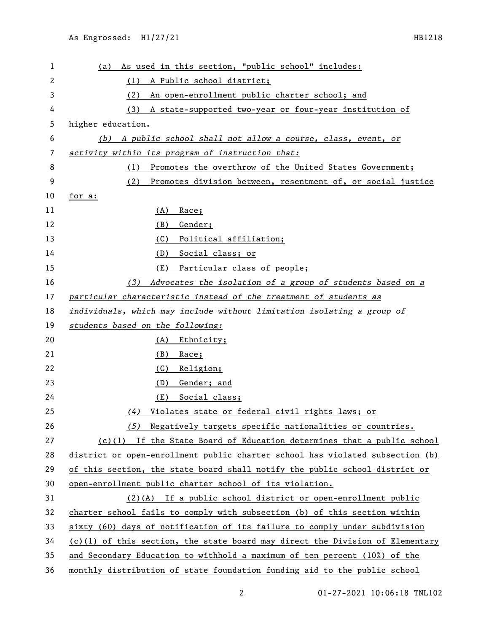| 1  | As used in this section, "public school" includes:<br>(a)                       |
|----|---------------------------------------------------------------------------------|
| 2  | (1) A Public school district;                                                   |
| 3  | An open-enrollment public charter school; and<br>(2)                            |
| 4  | (3) A state-supported two-year or four-year institution of                      |
| 5  | higher education.                                                               |
| 6  | (b) A public school shall not allow a course, class, event, or                  |
| 7  | activity within its program of instruction that:                                |
| 8  | Promotes the overthrow of the United States Government;<br>(1)                  |
| 9  | (2)<br>Promotes division between, resentment of, or social justice              |
| 10 | for a:                                                                          |
| 11 | (A)<br>Race;                                                                    |
| 12 | Gender;<br>(B)                                                                  |
| 13 | Political affiliation;                                                          |
|    | (C)                                                                             |
| 14 | Social class; or<br>(D)                                                         |
| 15 | Particular class of people;<br>(E)                                              |
| 16 | Advocates the isolation of a group of students based on a<br>(3)                |
| 17 | particular characteristic instead of the treatment of students as               |
| 18 | individuals, which may include without limitation isolating a group of          |
| 19 | students based on the following:                                                |
| 20 | (A)<br><u>Ethnicity;</u>                                                        |
| 21 | (B)<br>Race;                                                                    |
| 22 | (C)<br><u>Religion;</u>                                                         |
| 23 | Gender; and<br>(D)                                                              |
| 24 | Social class;<br>(E)                                                            |
| 25 | Violates state or federal civil rights laws; or<br>(4)                          |
| 26 | (5) Negatively targets specific nationalities or countries.                     |
| 27 | $(c)(1)$ If the State Board of Education determines that a public school        |
| 28 | district or open-enrollment public charter school has violated subsection (b)   |
| 29 | of this section, the state board shall notify the public school district or     |
| 30 | open-enrollment public charter school of its violation.                         |
| 31 | $(2)$ (A) If a public school district or open-enrollment public                 |
| 32 | charter school fails to comply with subsection (b) of this section within       |
| 33 | sixty (60) days of notification of its failure to comply under subdivision      |
| 34 | $(c)(1)$ of this section, the state board may direct the Division of Elementary |
| 35 | and Secondary Education to withhold a maximum of ten percent (10%) of the       |
| 36 | monthly distribution of state foundation funding aid to the public school       |

01-27-2021 10:06:18 TNL102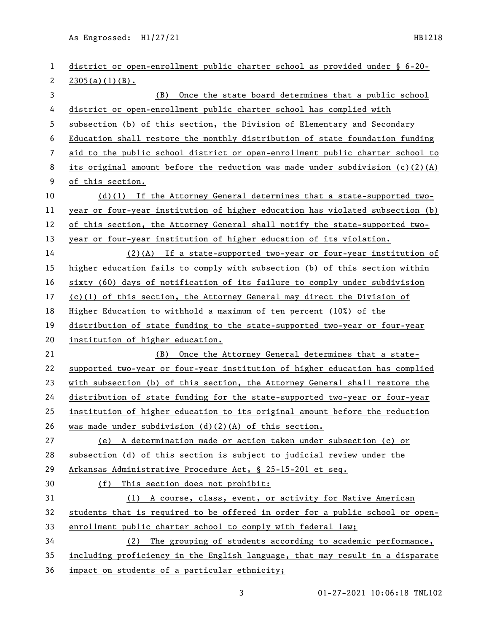As Engrossed: H1/27/21 HB1218

| 1  | district or open-enrollment public charter school as provided under § 6-20-     |  |  |
|----|---------------------------------------------------------------------------------|--|--|
| 2  | 2305(a)(1)(B).                                                                  |  |  |
| 3  | (B) Once the state board determines that a public school                        |  |  |
| 4  | district or open-enrollment public charter school has complied with             |  |  |
| 5  | subsection (b) of this section, the Division of Elementary and Secondary        |  |  |
| 6  | Education shall restore the monthly distribution of state foundation funding    |  |  |
| 7  | aid to the public school district or open-enrollment public charter school to   |  |  |
| 8  | its original amount before the reduction was made under subdivision $(c)(2)(A)$ |  |  |
| 9  | of this section.                                                                |  |  |
| 10 | $(d)(1)$ If the Attorney General determines that a state-supported two-         |  |  |
| 11 | year or four-year institution of higher education has violated subsection (b)   |  |  |
| 12 | of this section, the Attorney General shall notify the state-supported two-     |  |  |
| 13 | year or four-year institution of higher education of its violation.             |  |  |
| 14 | (2)(A) If a state-supported two-year or four-year institution of                |  |  |
| 15 | higher education fails to comply with subsection (b) of this section within     |  |  |
| 16 | sixty (60) days of notification of its failure to comply under subdivision      |  |  |
| 17 | $(c)(1)$ of this section, the Attorney General may direct the Division of       |  |  |
| 18 | Higher Education to withhold a maximum of ten percent (10%) of the              |  |  |
| 19 | distribution of state funding to the state-supported two-year or four-year      |  |  |
| 20 | institution of higher education.                                                |  |  |
| 21 | (B) Once the Attorney General determines that a state-                          |  |  |
| 22 | supported two-year or four-year institution of higher education has complied    |  |  |
| 23 | with subsection (b) of this section, the Attorney General shall restore the     |  |  |
| 24 | distribution of state funding for the state-supported two-year or four-year     |  |  |
| 25 | institution of higher education to its original amount before the reduction     |  |  |
| 26 | was made under subdivision $(d)(2)(A)$ of this section.                         |  |  |
| 27 | (e) A determination made or action taken under subsection (c) or                |  |  |
| 28 | subsection (d) of this section is subject to judicial review under the          |  |  |
| 29 | Arkansas Administrative Procedure Act, § 25-15-201 et seq.                      |  |  |
| 30 | (f) This section does not prohibit:                                             |  |  |
| 31 | (1) A course, class, event, or activity for Native American                     |  |  |
| 32 | students that is required to be offered in order for a public school or open-   |  |  |
| 33 | enrollment public charter school to comply with federal law;                    |  |  |
| 34 | The grouping of students according to academic performance,<br>(2)              |  |  |
| 35 | including proficiency in the English language, that may result in a disparate   |  |  |
| 36 | impact on students of a particular ethnicity;                                   |  |  |